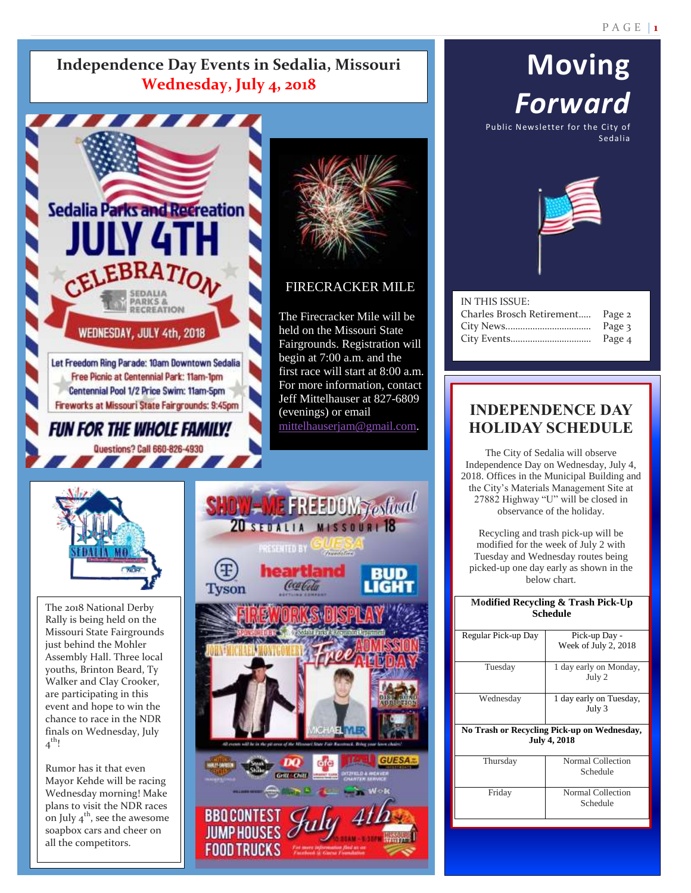### **Independence Day Events in Sedalia, Missouri Wednesday, July 4, 2018**



## **Moving** *Forward* Public Newsletter for the City of Sedalia



| IN THIS ISSUE:            |        |
|---------------------------|--------|
| Charles Brosch Retirement | Page 2 |
|                           | Page 3 |
|                           | Page 4 |
|                           |        |

### **INDEPENDENCE DAY HOLIDAY SCHEDULE**

The City of Sedalia will observe Independence Day on Wednesday, July 4, 2018. Offices in the Municipal Building and the City's Materials Management Site at 27882 Highway "U" will be closed in observance of the holiday.

Recycling and trash pick-up will be modified for the week of July 2 with Tuesday and Wednesday routes being picked-up one day early as shown in the below chart.

#### **Modified Recycling & Trash Pick-Up Schedule**

| Regular Pick-up Day                         | Pick-up Day -           |  |
|---------------------------------------------|-------------------------|--|
|                                             | Week of July 2, 2018    |  |
|                                             |                         |  |
| Tuesday                                     | 1 day early on Monday,  |  |
|                                             | July 2                  |  |
|                                             |                         |  |
| Wednesday                                   | 1 day early on Tuesday, |  |
|                                             | July 3                  |  |
|                                             |                         |  |
| No Trash or Recycling Pick-up on Wednesday, |                         |  |
| <b>July 4, 2018</b>                         |                         |  |
|                                             |                         |  |
| Thursday                                    | Normal Collection       |  |
|                                             | Schedule                |  |
|                                             |                         |  |
| Friday                                      | Normal Collection       |  |

Schedule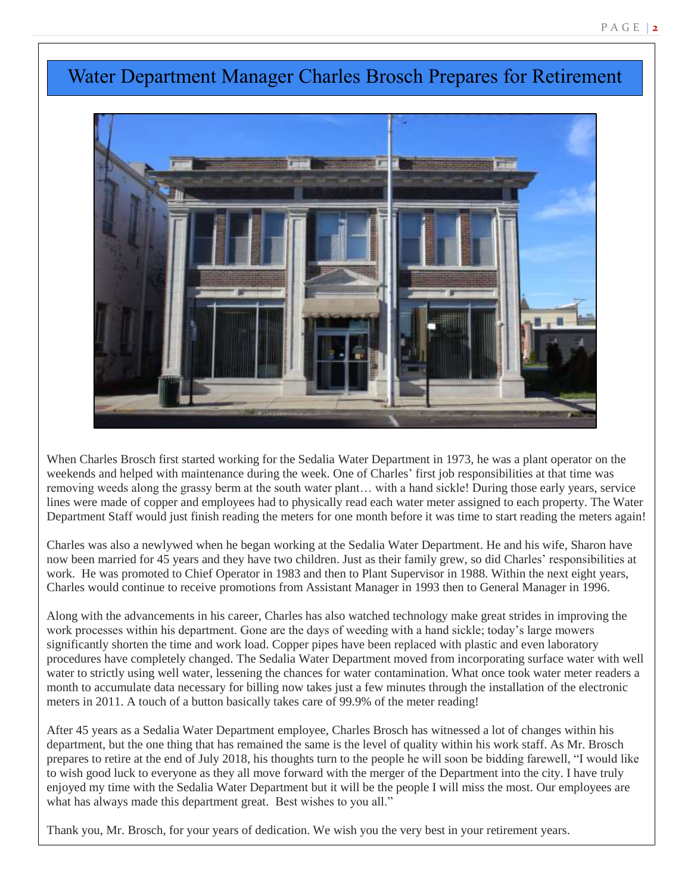## Water Department Manager Charles Brosch Prepares for Retirement



When Charles Brosch first started working for the Sedalia Water Department in 1973, he was a plant operator on the weekends and helped with maintenance during the week. One of Charles' first job responsibilities at that time was<br>removing weeds along the grassy berm at the south water plant with a hand sicklel During those early vears s removing weeds along the grassy berm at the south water plant… with a hand sickle! During those early years, service lines were made of copper and employees had to physically read each water meter assigned to each property. The Water Department Staff would just finish reading the meters for one month before it was time to start reading the meters again!

Charles was also a newlywed when he began working at the Sedalia Water Department. He and his wife, Sharon have now been married for 45 years and they have two children. Just as their family grew, so did Charles' responsibilities at work. He was promoted to Chief Operator in 1983 and then to Plant Supervisor in 1988. Within the next eight years, Charles would continue to receive promotions from Assistant Manager in 1993 then to General Manager in 1996.

Along with the advancements in his career, Charles has also watched technology make great strides in improving the work processes within his department. Gone are the days of weeding with a hand sickle; today's large mowers significantly shorten the time and work load. Copper pipes have been replaced with plastic and even laboratory procedures have completely changed. The Sedalia Water Department moved from incorporating surface water with well water to strictly using well water, lessening the chances for water contamination. What once took water meter readers a month to accumulate data necessary for billing now takes just a few minutes through the installation of the electronic meters in 2011. A touch of a button basically takes care of 99.9% of the meter reading!

After 45 years as a Sedalia Water Department employee, Charles Brosch has witnessed a lot of changes within his department, but the one thing that has remained the same is the level of quality within his work staff. As Mr. Brosch prepares to retire at the end of July 2018, his thoughts turn to the people he will soon be bidding farewell, "I would like to wish good luck to everyone as they all move forward with the merger of the Department into the city. I have truly enjoyed my time with the Sedalia Water Department but it will be the people I will miss the most. Our employees are what has always made this department great. Best wishes to you all."

Thank you, Mr. Brosch, for your years of dedication. We wish you the very best in your retirement years.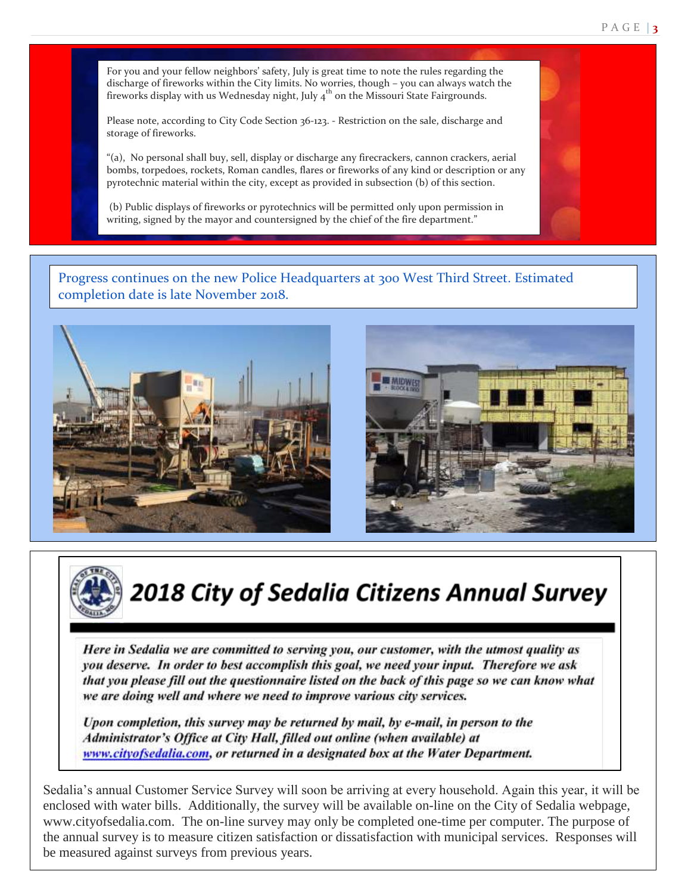P A G E | **3**

For you and your fellow neighbors' safety, July is great time to note the rules regarding the discharge of fireworks within the City limits. No worries, though – you can always watch the fireworks display with us Wednesday night, July  $4<sup>th</sup>$  on the Missouri State Fairgrounds.

Please note, according to City Code Section 36-123. - Restriction on the sale, discharge and storage of fireworks.

 bombs, torpedoes, rockets, Roman candles, flares or fireworks of any kind or description or any pyrotechnic material within the city, except as provided in subsection (b) of this section. "(a), No personal shall buy, sell, display or discharge any firecrackers, cannon crackers, aerial

 (b) Public displays of fireworks or pyrotechnics will be permitted only upon permission in writing, signed by the mayor and countersigned by the chief of the fire department."

Progress continues on the new Police Headquarters at 300 West Third Street. Estimated completion date is late November 2018.







**2018 City of Sedalia Citizens Annual Survey** 

Here in Sedalia we are committed to serving you, our customer, with the utmost quality as you deserve. In order to best accomplish this goal, we need your input. Therefore we ask that you please fill out the questionnaire listed on the back of this page so we can know what we are doing well and where we need to improve various city services.

Upon completion, this survey may be returned by mail, by e-mail, in person to the Administrator's Office at City Hall, filled out online (when available) at www.cityofsedalia.com, or returned in a designated box at the Water Department.

Sedalia's annual Customer Service Survey will soon be arriving at every household. Again this year, it will be enclosed with water bills. Additionally, the survey will be available on-line on the City of Sedalia webpage, www.cityofsedalia.com. The on-line survey may only be completed one-time per computer. The purpose of the annual survey is to measure citizen satisfaction or dissatisfaction with municipal services. Responses will be measured against surveys from previous years.